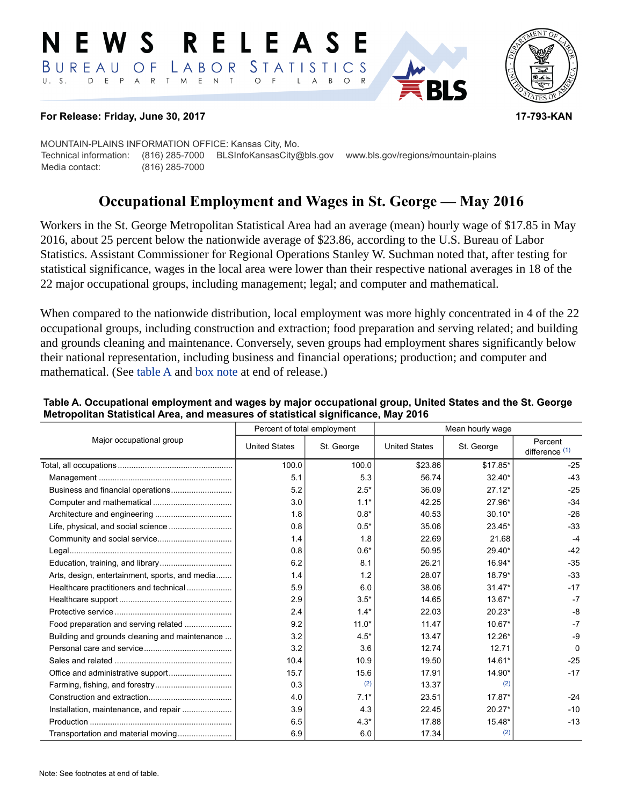#### RELEAS E W S BUREAU STATISTICS O F LABOR D E P A R T M E N T  $U. S.$  $\circ$  $\overline{F}$  $\mathsf{L}$  $\overline{A}$  $B$  $\circ$



#### **For Release: Friday, June 30, 2017 17-793-KAN**

MOUNTAIN-PLAINS INFORMATION OFFICE: Kansas City, Mo. Technical information: (816) 285-7000 BLSInfoKansasCity@bls.gov www.bls.gov/regions/mountain-plains Media contact: (816) 285-7000

# **Occupational Employment and Wages in St. George — May 2016**

Workers in the St. George Metropolitan Statistical Area had an average (mean) hourly wage of \$17.85 in May 2016, about 25 percent below the nationwide average of \$23.86, according to the U.S. Bureau of Labor Statistics. Assistant Commissioner for Regional Operations Stanley W. Suchman noted that, after testing for statistical significance, wages in the local area were lower than their respective national averages in 18 of the 22 major occupational groups, including management; legal; and computer and mathematical.

When compared to the nationwide distribution, local employment was more highly concentrated in 4 of the 22 occupational groups, including construction and extraction; food preparation and serving related; and building and grounds cleaning and maintenance. Conversely, seven groups had employment shares significantly below their national representation, including business and financial operations; production; and computer and mathematical. (See table A and [box note](#page-1-0) at end of release.)

|                                                | Percent of total employment |            | Mean hourly wage     |            |                             |
|------------------------------------------------|-----------------------------|------------|----------------------|------------|-----------------------------|
| Major occupational group                       | <b>United States</b>        | St. George | <b>United States</b> | St. George | Percent<br>difference $(1)$ |
|                                                | 100.0                       | 100.0      | \$23.86              | \$17.85*   | $-25$                       |
|                                                | 5.1                         | 5.3        | 56.74                | $32.40*$   | $-43$                       |
|                                                | 5.2                         | $2.5*$     | 36.09                | $27.12*$   | $-25$                       |
|                                                | 3.0                         | $1.1*$     | 42.25                | 27.96*     | $-34$                       |
|                                                | 1.8                         | $0.8*$     | 40.53                | $30.10*$   | $-26$                       |
|                                                | 0.8                         | $0.5*$     | 35.06                | $23.45*$   | $-33$                       |
|                                                | 1.4                         | 1.8        | 22.69                | 21.68      | $-4$                        |
|                                                | 0.8                         | $0.6*$     | 50.95                | 29.40*     | $-42$                       |
|                                                | 6.2                         | 8.1        | 26.21                | 16.94*     | $-35$                       |
| Arts, design, entertainment, sports, and media | 1.4                         | 1.2        | 28.07                | 18.79*     | $-33$                       |
| Healthcare practitioners and technical         | 5.9                         | 6.0        | 38.06                | $31.47*$   | $-17$                       |
|                                                | 2.9                         | $3.5*$     | 14.65                | $13.67*$   | $-7$                        |
|                                                | 2.4                         | $1.4*$     | 22.03                | $20.23*$   | $-8$                        |
| Food preparation and serving related           | 9.2                         | $11.0*$    | 11.47                | 10.67*     | $-7$                        |
| Building and grounds cleaning and maintenance  | 3.2                         | $4.5*$     | 13.47                | 12.26*     | -9                          |
|                                                | 3.2                         | 3.6        | 12.74                | 12.71      | $\Omega$                    |
|                                                | 10.4                        | 10.9       | 19.50                | 14.61*     | $-25$                       |
|                                                | 15.7                        | 15.6       | 17.91                | 14.90*     | $-17$                       |
|                                                | 0.3                         | (2)        | 13.37                | (2)        |                             |
|                                                | 4.0                         | $7.1*$     | 23.51                | $17.87*$   | $-24$                       |
| Installation, maintenance, and repair          | 3.9                         | 4.3        | 22.45                | $20.27*$   | $-10$                       |
|                                                | 6.5                         | $4.3*$     | 17.88                | 15.48*     | $-13$                       |
| Transportation and material moving             | 6.9                         | 6.0        | 17.34                | (2)        |                             |

#### **Table A. Occupational employment and wages by major occupational group, United States and the St. George Metropolitan Statistical Area, and measures of statistical significance, May 2016**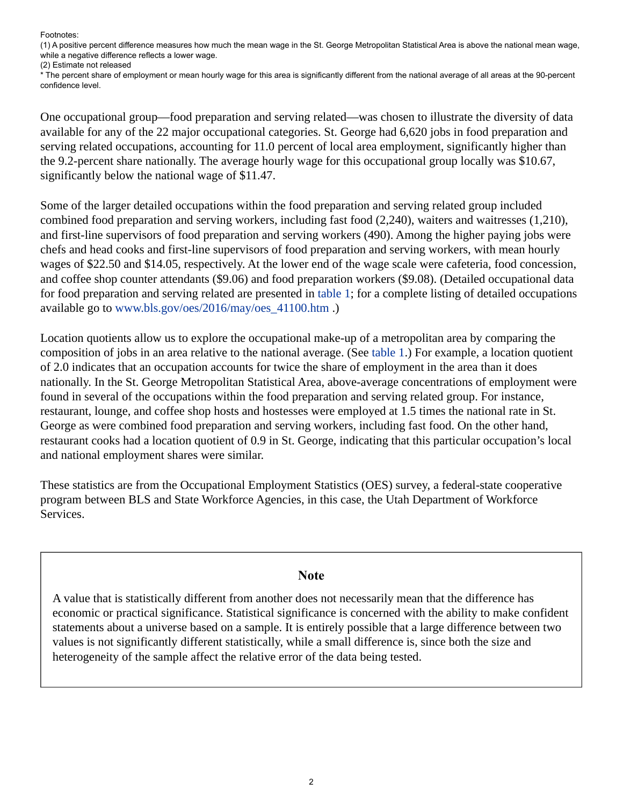<span id="page-1-1"></span>(1) A positive percent difference measures how much the mean wage in the St. George Metropolitan Statistical Area is above the national mean wage, while a negative difference reflects a lower wage. (2) Estimate not released

<span id="page-1-2"></span>\* The percent share of employment or mean hourly wage for this area is significantly different from the national average of all areas at the 90-percent confidence level.

One occupational group—food preparation and serving related—was chosen to illustrate the diversity of data available for any of the 22 major occupational categories. St. George had 6,620 jobs in food preparation and serving related occupations, accounting for 11.0 percent of local area employment, significantly higher than the 9.2-percent share nationally. The average hourly wage for this occupational group locally was \$10.67, significantly below the national wage of \$11.47.

Some of the larger detailed occupations within the food preparation and serving related group included combined food preparation and serving workers, including fast food (2,240), waiters and waitresses (1,210), and first-line supervisors of food preparation and serving workers (490). Among the higher paying jobs were chefs and head cooks and first-line supervisors of food preparation and serving workers, with mean hourly wages of \$22.50 and \$14.05, respectively. At the lower end of the wage scale were cafeteria, food concession, and coffee shop counter attendants (\$9.06) and food preparation workers (\$9.08). (Detailed occupational data for food preparation and serving related are presented in table 1; for a complete listing of detailed occupations available go to [www.bls.gov/oes/2016/may/oes\\_41100.htm](https://www.bls.gov/oes/2016/may/oes_41100.htm) .)

Location quotients allow us to explore the occupational make-up of a metropolitan area by comparing the composition of jobs in an area relative to the national average. (See table 1.) For example, a location quotient of 2.0 indicates that an occupation accounts for twice the share of employment in the area than it does nationally. In the St. George Metropolitan Statistical Area, above-average concentrations of employment were found in several of the occupations within the food preparation and serving related group. For instance, restaurant, lounge, and coffee shop hosts and hostesses were employed at 1.5 times the national rate in St. George as were combined food preparation and serving workers, including fast food. On the other hand, restaurant cooks had a location quotient of 0.9 in St. George, indicating that this particular occupation's local and national employment shares were similar.

These statistics are from the Occupational Employment Statistics (OES) survey, a federal-state cooperative program between BLS and State Workforce Agencies, in this case, the Utah Department of Workforce Services.

## **Note**

<span id="page-1-0"></span>A value that is statistically different from another does not necessarily mean that the difference has economic or practical significance. Statistical significance is concerned with the ability to make confident statements about a universe based on a sample. It is entirely possible that a large difference between two values is not significantly different statistically, while a small difference is, since both the size and heterogeneity of the sample affect the relative error of the data being tested.

Footnotes: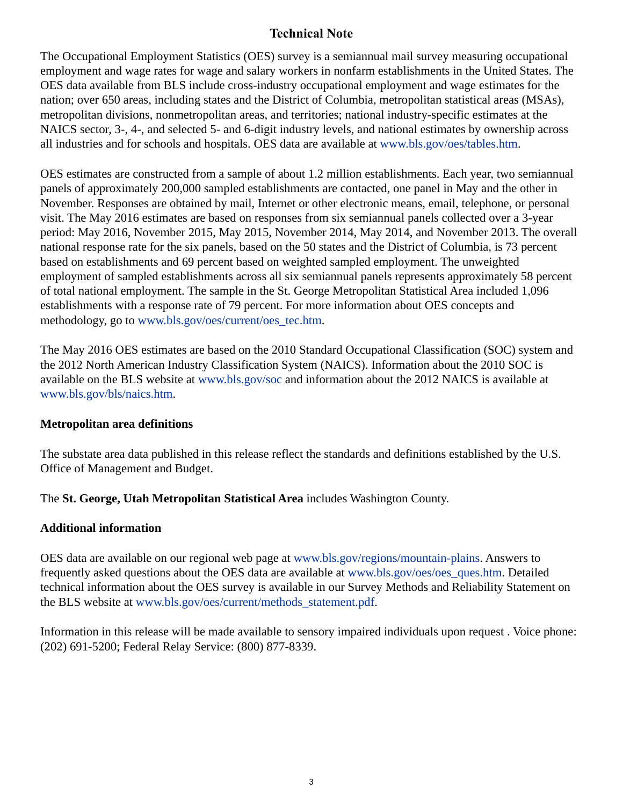# **Technical Note**

The Occupational Employment Statistics (OES) survey is a semiannual mail survey measuring occupational employment and wage rates for wage and salary workers in nonfarm establishments in the United States. The OES data available from BLS include cross-industry occupational employment and wage estimates for the nation; over 650 areas, including states and the District of Columbia, metropolitan statistical areas (MSAs), metropolitan divisions, nonmetropolitan areas, and territories; national industry-specific estimates at the NAICS sector, 3-, 4-, and selected 5- and 6-digit industry levels, and national estimates by ownership across all industries and for schools and hospitals. OES data are available at [www.bls.gov/oes/tables.htm](https://www.bls.gov/oes/tables.htm).

OES estimates are constructed from a sample of about 1.2 million establishments. Each year, two semiannual panels of approximately 200,000 sampled establishments are contacted, one panel in May and the other in November. Responses are obtained by mail, Internet or other electronic means, email, telephone, or personal visit. The May 2016 estimates are based on responses from six semiannual panels collected over a 3-year period: May 2016, November 2015, May 2015, November 2014, May 2014, and November 2013. The overall national response rate for the six panels, based on the 50 states and the District of Columbia, is 73 percent based on establishments and 69 percent based on weighted sampled employment. The unweighted employment of sampled establishments across all six semiannual panels represents approximately 58 percent of total national employment. The sample in the St. George Metropolitan Statistical Area included 1,096 establishments with a response rate of 79 percent. For more information about OES concepts and methodology, go to [www.bls.gov/oes/current/oes\\_tec.htm](https://www.bls.gov/oes/current/oes_tec.htm).

The May 2016 OES estimates are based on the 2010 Standard Occupational Classification (SOC) system and the 2012 North American Industry Classification System (NAICS). Information about the 2010 SOC is available on the BLS website at [www.bls.gov/soc](https://www.bls.gov/soc) and information about the 2012 NAICS is available at [www.bls.gov/bls/naics.htm.](https://www.bls.gov/bls/naics.htm)

## **Metropolitan area definitions**

The substate area data published in this release reflect the standards and definitions established by the U.S. Office of Management and Budget.

The **St. George, Utah Metropolitan Statistical Area** includes Washington County.

# **Additional information**

OES data are available on our regional web page at [www.bls.gov/regions/mountain-plains.](https://www.bls.gov/regions/mountain-plains) Answers to frequently asked questions about the OES data are available at [www.bls.gov/oes/oes\\_ques.htm](https://www.bls.gov/oes/oes_ques.htm). Detailed technical information about the OES survey is available in our Survey Methods and Reliability Statement on the BLS website at [www.bls.gov/oes/current/methods\\_statement.pdf](https://www.bls.gov/oes/current/methods_statement.pdf).

Information in this release will be made available to sensory impaired individuals upon request . Voice phone: (202) 691-5200; Federal Relay Service: (800) 877-8339.